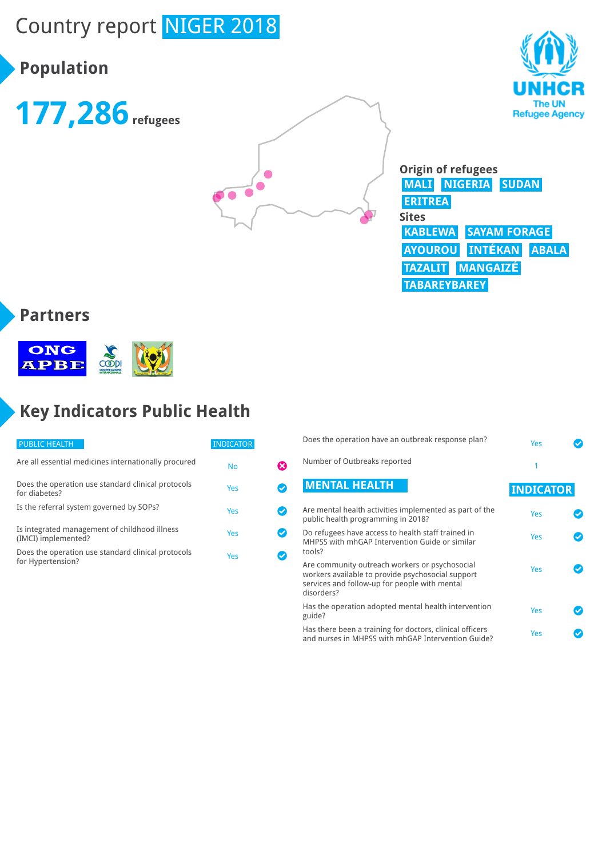# Country report NIGER 2018

# **Population**







#### **Partners**



# **Key Indicators Public Health**

| <b>PUBLIC HEALTH</b>                                                    | <b>INDICATOR</b> |  |
|-------------------------------------------------------------------------|------------------|--|
| Are all essential medicines internationally procured                    | No               |  |
| Does the operation use standard clinical protocols<br>for diabetes?     | Yes              |  |
| Is the referral system governed by SOPs?                                | Yes              |  |
| Is integrated management of childhood illness<br>(IMCI) implemented?    | Yes              |  |
| Does the operation use standard clinical protocols<br>for Hypertension? | Yes              |  |

| Does the operation have an outbreak response plan?                                                                                                                 | Yes              |  |
|--------------------------------------------------------------------------------------------------------------------------------------------------------------------|------------------|--|
| Number of Outbreaks reported                                                                                                                                       | 1                |  |
| <b>MENTAL HEALTH</b>                                                                                                                                               | <b>INDICATOR</b> |  |
| Are mental health activities implemented as part of the<br>public health programming in 2018?                                                                      | Yes              |  |
| Do refugees have access to health staff trained in<br>MHPSS with mhGAP Intervention Guide or similar<br>tools?                                                     | Yes              |  |
| Are community outreach workers or psychosocial<br>workers available to provide psychosocial support<br>services and follow-up for people with mental<br>disorders? | Yes              |  |
| Has the operation adopted mental health intervention<br>guide?                                                                                                     | Yes              |  |
| Has there been a training for doctors, clinical officers<br>and nurses in MHPSS with mhGAP Intervention Guide?                                                     | Yes              |  |